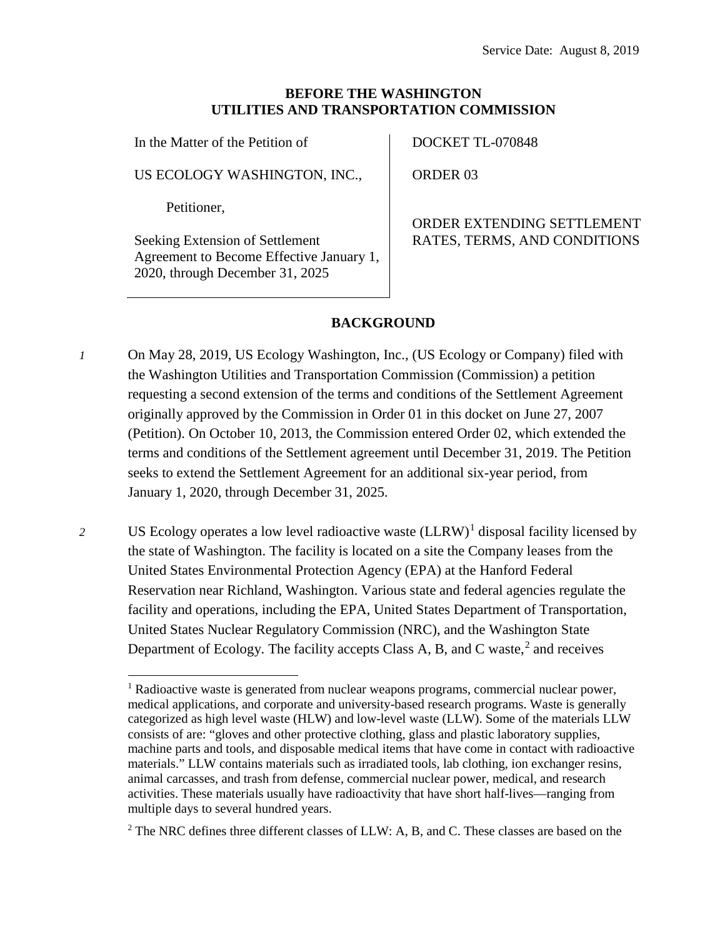## **BEFORE THE WASHINGTON UTILITIES AND TRANSPORTATION COMMISSION**

In the Matter of the Petition of

US ECOLOGY WASHINGTON, INC.,

Petitioner,

Seeking Extension of Settlement Agreement to Become Effective January 1, 2020, through December 31, 2025

DOCKET TL-070848

ORDER 03

ORDER EXTENDING SETTLEMENT RATES, TERMS, AND CONDITIONS

# **BACKGROUND**

*1* On May 28, 2019, US Ecology Washington, Inc., (US Ecology or Company) filed with the Washington Utilities and Transportation Commission (Commission) a petition requesting a second extension of the terms and conditions of the Settlement Agreement originally approved by the Commission in Order 01 in this docket on June 27, 2007 (Petition). On October 10, 2013, the Commission entered Order 02, which extended the terms and conditions of the Settlement agreement until December 31, 2019. The Petition seeks to extend the Settlement Agreement for an additional six-year period, from January 1, 2020, through December 31, 2025.

2 US Ecology operates a low level radioactive waste  $(LLRW)^1$  $(LLRW)^1$  disposal facility licensed by the state of Washington. The facility is located on a site the Company leases from the United States Environmental Protection Agency (EPA) at the Hanford Federal Reservation near Richland, Washington. Various state and federal agencies regulate the facility and operations, including the EPA, United States Department of Transportation, United States Nuclear Regulatory Commission (NRC), and the Washington State Department of Ecology. The facility accepts Class A, B, and C waste,<sup>[2](#page-0-1)</sup> and receives

<span id="page-0-0"></span>Ĩ <sup>1</sup> Radioactive waste is generated from nuclear weapons programs, commercial nuclear power, medical applications, and corporate and university-based research programs. Waste is generally categorized as high level waste (HLW) and low-level waste (LLW). Some of the materials LLW consists of are: "gloves and other protective clothing, glass and plastic laboratory supplies, machine parts and tools, and disposable medical items that have come in contact with radioactive materials." LLW contains materials such as irradiated tools, lab clothing, ion exchanger resins, animal carcasses, and trash from defense, commercial nuclear power, medical, and research activities. These materials usually have radioactivity that have short half-lives—ranging from multiple days to several hundred years.

<span id="page-0-1"></span> $2$  The NRC defines three different classes of LLW: A, B, and C. These classes are based on the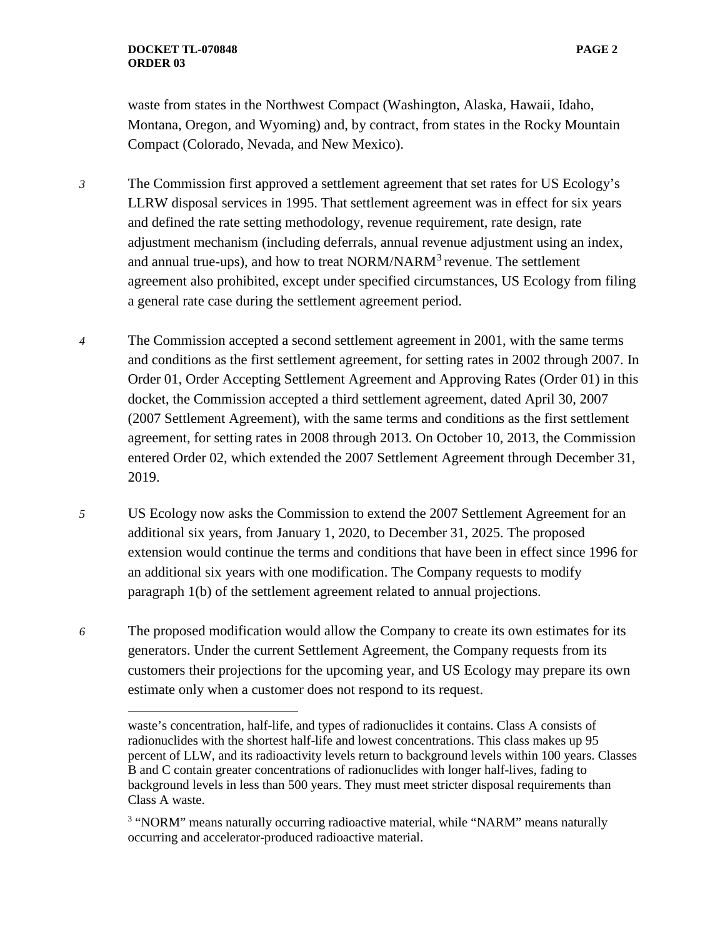waste from states in the Northwest Compact (Washington, Alaska, Hawaii, Idaho, Montana, Oregon, and Wyoming) and, by contract, from states in the Rocky Mountain Compact (Colorado, Nevada, and New Mexico).

- *3* The Commission first approved a settlement agreement that set rates for US Ecology's LLRW disposal services in 1995. That settlement agreement was in effect for six years and defined the rate setting methodology, revenue requirement, rate design, rate adjustment mechanism (including deferrals, annual revenue adjustment using an index, and annual true-ups), and how to treat  $NORM/NARM<sup>3</sup>$  $NORM/NARM<sup>3</sup>$  $NORM/NARM<sup>3</sup>$  revenue. The settlement agreement also prohibited, except under specified circumstances, US Ecology from filing a general rate case during the settlement agreement period.
- *4* The Commission accepted a second settlement agreement in 2001, with the same terms and conditions as the first settlement agreement, for setting rates in 2002 through 2007. In Order 01, Order Accepting Settlement Agreement and Approving Rates (Order 01) in this docket, the Commission accepted a third settlement agreement, dated April 30, 2007 (2007 Settlement Agreement), with the same terms and conditions as the first settlement agreement, for setting rates in 2008 through 2013. On October 10, 2013, the Commission entered Order 02, which extended the 2007 Settlement Agreement through December 31, 2019.
- *5* US Ecology now asks the Commission to extend the 2007 Settlement Agreement for an additional six years, from January 1, 2020, to December 31, 2025. The proposed extension would continue the terms and conditions that have been in effect since 1996 for an additional six years with one modification. The Company requests to modify paragraph 1(b) of the settlement agreement related to annual projections.
- *6* The proposed modification would allow the Company to create its own estimates for its generators. Under the current Settlement Agreement, the Company requests from its customers their projections for the upcoming year, and US Ecology may prepare its own estimate only when a customer does not respond to its request.

Ξ waste's concentration, half-life, and types of radionuclides it contains. Class A consists of radionuclides with the shortest half-life and lowest concentrations. This class makes up 95 percent of LLW, and its radioactivity levels return to background levels within 100 years. Classes B and C contain greater concentrations of radionuclides with longer half-lives, fading to background levels in less than 500 years. They must meet stricter disposal requirements than Class A waste.

<span id="page-1-0"></span><sup>&</sup>lt;sup>3</sup> "NORM" means naturally occurring radioactive material, while "NARM" means naturally occurring and accelerator-produced radioactive material.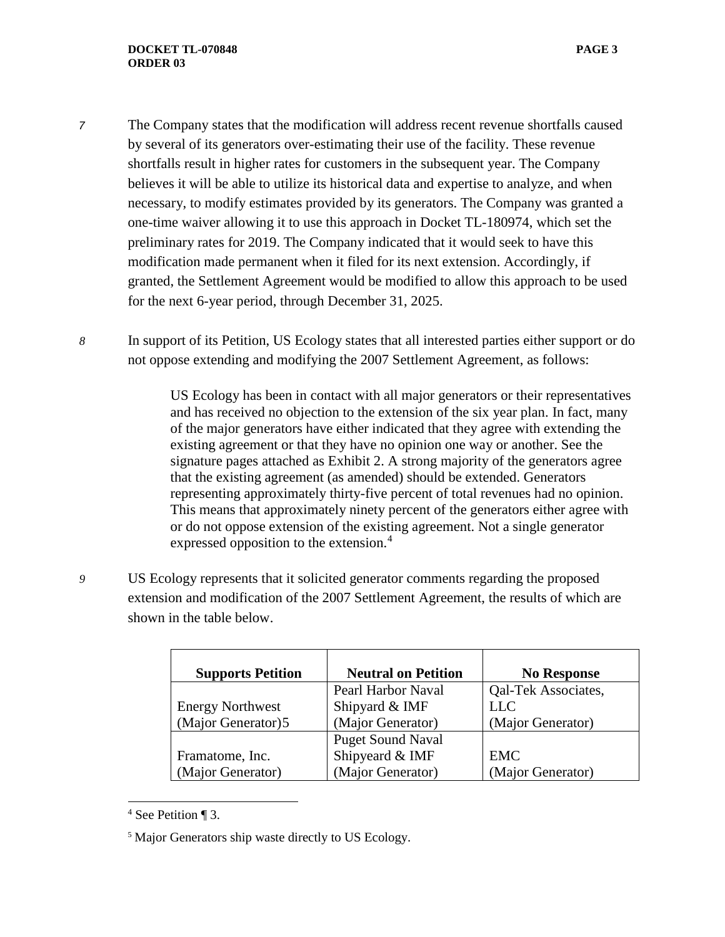- *7* The Company states that the modification will address recent revenue shortfalls caused by several of its generators over-estimating their use of the facility. These revenue shortfalls result in higher rates for customers in the subsequent year. The Company believes it will be able to utilize its historical data and expertise to analyze, and when necessary, to modify estimates provided by its generators. The Company was granted a one-time waiver allowing it to use this approach in Docket TL-180974, which set the preliminary rates for 2019. The Company indicated that it would seek to have this modification made permanent when it filed for its next extension. Accordingly, if granted, the Settlement Agreement would be modified to allow this approach to be used for the next 6-year period, through December 31, 2025.
- *8* In support of its Petition, US Ecology states that all interested parties either support or do not oppose extending and modifying the 2007 Settlement Agreement, as follows:

US Ecology has been in contact with all major generators or their representatives and has received no objection to the extension of the six year plan. In fact, many of the major generators have either indicated that they agree with extending the existing agreement or that they have no opinion one way or another. See the signature pages attached as Exhibit 2. A strong majority of the generators agree that the existing agreement (as amended) should be extended. Generators representing approximately thirty-five percent of total revenues had no opinion. This means that approximately ninety percent of the generators either agree with or do not oppose extension of the existing agreement. Not a single generator expressed opposition to the extension.<sup>[4](#page-2-0)</sup>

*9* US Ecology represents that it solicited generator comments regarding the proposed extension and modification of the 2007 Settlement Agreement, the results of which are shown in the table below.

| <b>Supports Petition</b> | <b>Neutral on Petition</b> | <b>No Response</b>  |
|--------------------------|----------------------------|---------------------|
|                          | Pearl Harbor Naval         | Qal-Tek Associates, |
| <b>Energy Northwest</b>  | Shipyard & IMF             | <b>LLC</b>          |
| (Major Generator)5       | (Major Generator)          | (Major Generator)   |
|                          | <b>Puget Sound Naval</b>   |                     |
| Framatome, Inc.          | Shipyeard & IMF            | EMC.                |
| (Major Generator)        | (Major Generator)          | (Major Generator)   |

<span id="page-2-0"></span>Ĩ <sup>4</sup> See Petition  $\P$  3.

<span id="page-2-1"></span><sup>5</sup> Major Generators ship waste directly to US Ecology.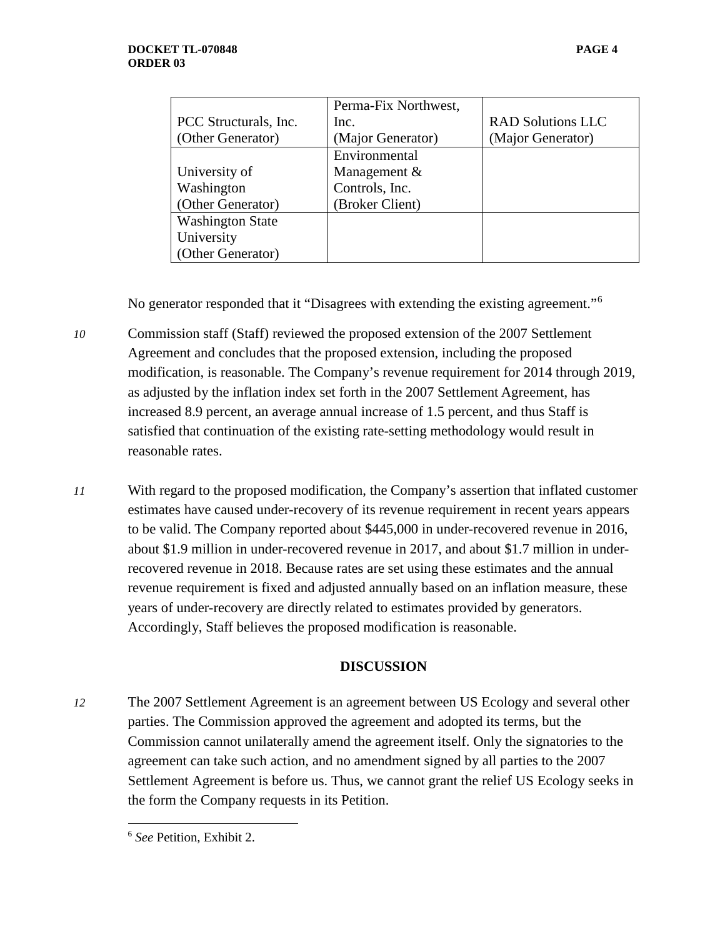|                         | Perma-Fix Northwest, |                          |
|-------------------------|----------------------|--------------------------|
| PCC Structurals, Inc.   | Inc.                 | <b>RAD Solutions LLC</b> |
| (Other Generator)       | (Major Generator)    | (Major Generator)        |
|                         | Environmental        |                          |
| University of           | Management $&$       |                          |
| Washington              | Controls, Inc.       |                          |
| (Other Generator)       | (Broker Client)      |                          |
| <b>Washington State</b> |                      |                          |
| University              |                      |                          |
| (Other Generator)       |                      |                          |

No generator responded that it "Disagrees with extending the existing agreement."[6](#page-3-0)

- *10* Commission staff (Staff) reviewed the proposed extension of the 2007 Settlement Agreement and concludes that the proposed extension, including the proposed modification, is reasonable. The Company's revenue requirement for 2014 through 2019, as adjusted by the inflation index set forth in the 2007 Settlement Agreement, has increased 8.9 percent, an average annual increase of 1.5 percent, and thus Staff is satisfied that continuation of the existing rate-setting methodology would result in reasonable rates.
- *11* With regard to the proposed modification, the Company's assertion that inflated customer estimates have caused under-recovery of its revenue requirement in recent years appears to be valid. The Company reported about \$445,000 in under-recovered revenue in 2016, about \$1.9 million in under-recovered revenue in 2017, and about \$1.7 million in underrecovered revenue in 2018. Because rates are set using these estimates and the annual revenue requirement is fixed and adjusted annually based on an inflation measure, these years of under-recovery are directly related to estimates provided by generators. Accordingly, Staff believes the proposed modification is reasonable.

### **DISCUSSION**

*12* The 2007 Settlement Agreement is an agreement between US Ecology and several other parties. The Commission approved the agreement and adopted its terms, but the Commission cannot unilaterally amend the agreement itself. Only the signatories to the agreement can take such action, and no amendment signed by all parties to the 2007 Settlement Agreement is before us. Thus, we cannot grant the relief US Ecology seeks in the form the Company requests in its Petition.

<span id="page-3-0"></span>ł <sup>6</sup> *See* Petition*,* Exhibit 2.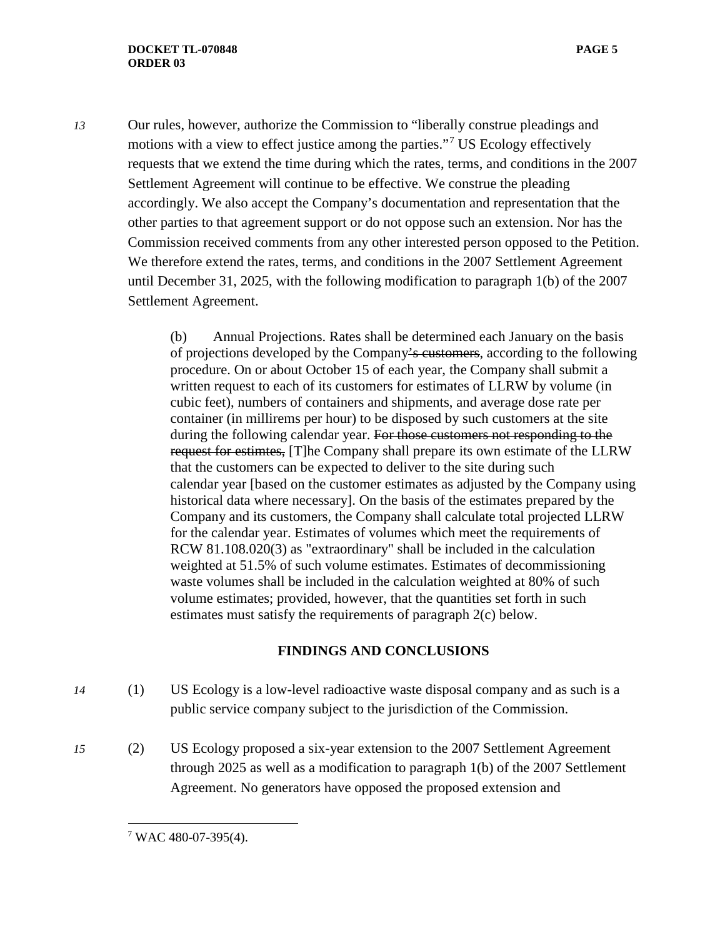*13* Our rules, however, authorize the Commission to "liberally construe pleadings and motions with a view to effect justice among the parties."<sup>[7](#page-4-0)</sup> US Ecology effectively requests that we extend the time during which the rates, terms, and conditions in the 2007 Settlement Agreement will continue to be effective. We construe the pleading accordingly. We also accept the Company's documentation and representation that the other parties to that agreement support or do not oppose such an extension. Nor has the Commission received comments from any other interested person opposed to the Petition. We therefore extend the rates, terms, and conditions in the 2007 Settlement Agreement until December 31, 2025, with the following modification to paragraph 1(b) of the 2007 Settlement Agreement.

> (b) Annual Projections. Rates shall be determined each January on the basis of projections developed by the Company's customers, according to the following procedure. On or about October 15 of each year, the Company shall submit a written request to each of its customers for estimates of LLRW by volume (in cubic feet), numbers of containers and shipments, and average dose rate per container (in millirems per hour) to be disposed by such customers at the site during the following calendar year. For those customers not responding to the request for estimtes, [T]he Company shall prepare its own estimate of the LLRW that the customers can be expected to deliver to the site during such calendar year [based on the customer estimates as adjusted by the Company using historical data where necessary]. On the basis of the estimates prepared by the Company and its customers, the Company shall calculate total projected LLRW for the calendar year. Estimates of volumes which meet the requirements of RCW 81.108.020(3) as "extraordinary" shall be included in the calculation weighted at 51.5% of such volume estimates. Estimates of decommissioning waste volumes shall be included in the calculation weighted at 80% of such volume estimates; provided, however, that the quantities set forth in such estimates must satisfy the requirements of paragraph 2(c) below.

### **FINDINGS AND CONCLUSIONS**

*14* (1) US Ecology is a low-level radioactive waste disposal company and as such is a public service company subject to the jurisdiction of the Commission.

<span id="page-4-0"></span>*15* (2) US Ecology proposed a six-year extension to the 2007 Settlement Agreement through 2025 as well as a modification to paragraph 1(b) of the 2007 Settlement Agreement. No generators have opposed the proposed extension and

ł  $7$  WAC 480-07-395(4).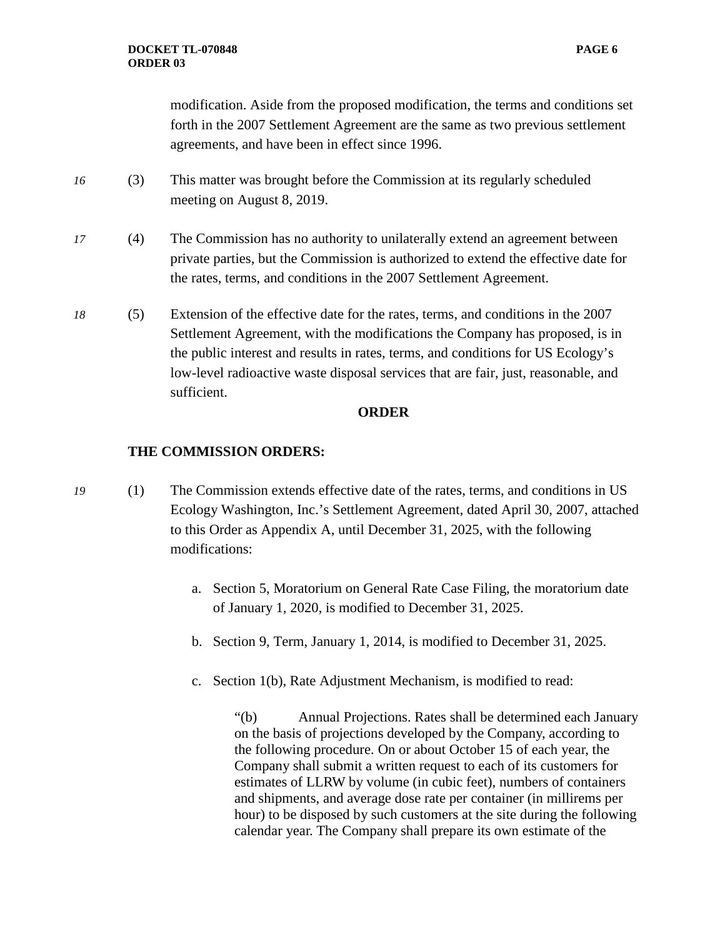modification. Aside from the proposed modification, the terms and conditions set forth in the 2007 Settlement Agreement are the same as two previous settlement agreements, and have been in effect since 1996.

- *16* (3) This matter was brought before the Commission at its regularly scheduled meeting on August 8, 2019.
- *17* (4) The Commission has no authority to unilaterally extend an agreement between private parties, but the Commission is authorized to extend the effective date for the rates, terms, and conditions in the 2007 Settlement Agreement.
- *18* (5) Extension of the effective date for the rates, terms, and conditions in the 2007 Settlement Agreement, with the modifications the Company has proposed, is in the public interest and results in rates, terms, and conditions for US Ecology's low-level radioactive waste disposal services that are fair, just, reasonable, and sufficient.

#### **ORDER**

### **THE COMMISSION ORDERS:**

- *19* (1) The Commission extends effective date of the rates, terms, and conditions in US Ecology Washington, Inc.'s Settlement Agreement, dated April 30, 2007, attached to this Order as Appendix A, until December 31, 2025, with the following modifications:
	- a. Section 5, Moratorium on General Rate Case Filing, the moratorium date of January 1, 2020, is modified to December 31, 2025.
	- b. Section 9, Term, January 1, 2014, is modified to December 31, 2025.
	- c. Section 1(b), Rate Adjustment Mechanism, is modified to read:

"(b) Annual Projections. Rates shall be determined each January on the basis of projections developed by the Company, according to the following procedure. On or about October 15 of each year, the Company shall submit a written request to each of its customers for estimates of LLRW by volume (in cubic feet), numbers of containers and shipments, and average dose rate per container (in millirems per hour) to be disposed by such customers at the site during the following calendar year. The Company shall prepare its own estimate of the